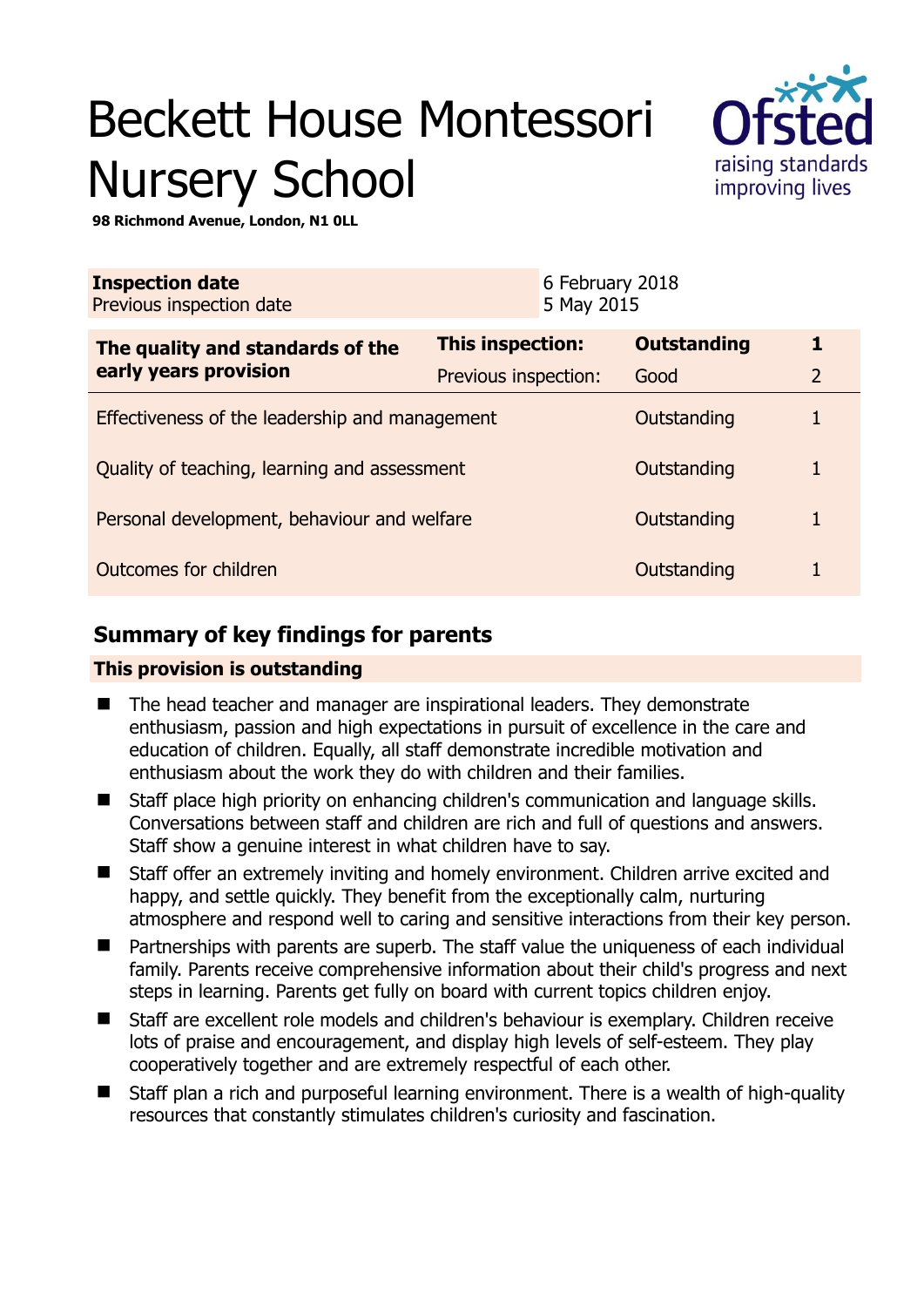# Beckett House Montessori Nursery School



**98 Richmond Avenue, London, N1 0LL** 

| <b>Inspection date</b><br>Previous inspection date |                      | 6 February 2018<br>5 May 2015 |                    |                |
|----------------------------------------------------|----------------------|-------------------------------|--------------------|----------------|
| The quality and standards of the                   | This inspection:     |                               | <b>Outstanding</b> | 1              |
| early years provision                              | Previous inspection: |                               | Good               | $\overline{2}$ |
| Effectiveness of the leadership and management     |                      |                               | Outstanding        |                |
| Quality of teaching, learning and assessment       |                      |                               | Outstanding        |                |
| Personal development, behaviour and welfare        |                      |                               | Outstanding        |                |
| Outcomes for children                              |                      |                               | Outstanding        |                |

# **Summary of key findings for parents**

## **This provision is outstanding**

- The head teacher and manager are inspirational leaders. They demonstrate enthusiasm, passion and high expectations in pursuit of excellence in the care and education of children. Equally, all staff demonstrate incredible motivation and enthusiasm about the work they do with children and their families.
- Staff place high priority on enhancing children's communication and language skills. Conversations between staff and children are rich and full of questions and answers. Staff show a genuine interest in what children have to say.
- Staff offer an extremely inviting and homely environment. Children arrive excited and happy, and settle quickly. They benefit from the exceptionally calm, nurturing atmosphere and respond well to caring and sensitive interactions from their key person.
- Partnerships with parents are superb. The staff value the uniqueness of each individual family. Parents receive comprehensive information about their child's progress and next steps in learning. Parents get fully on board with current topics children enjoy.
- Staff are excellent role models and children's behaviour is exemplary. Children receive lots of praise and encouragement, and display high levels of self-esteem. They play cooperatively together and are extremely respectful of each other.
- Staff plan a rich and purposeful learning environment. There is a wealth of high-quality resources that constantly stimulates children's curiosity and fascination.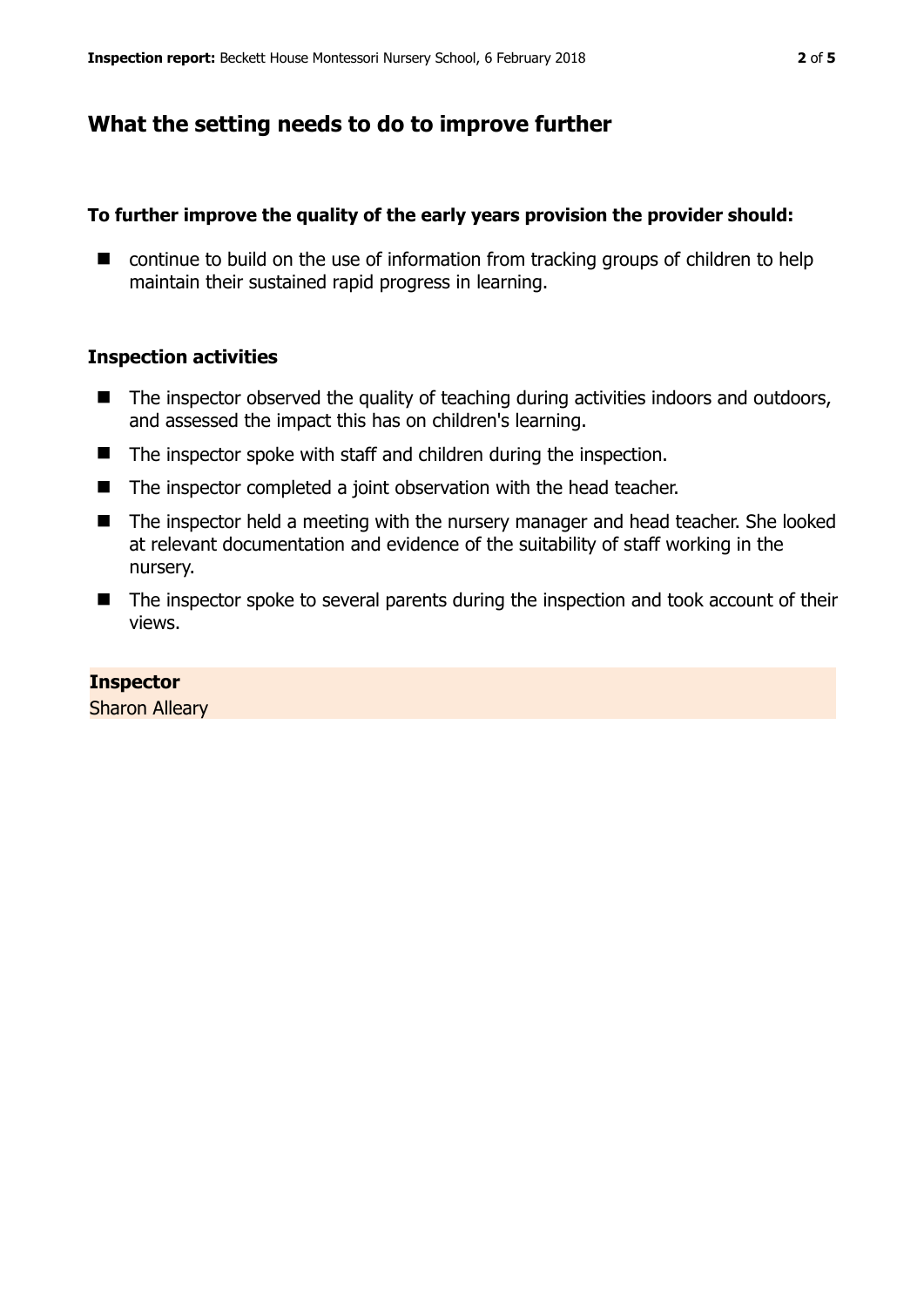## **What the setting needs to do to improve further**

## **To further improve the quality of the early years provision the provider should:**

■ continue to build on the use of information from tracking groups of children to help maintain their sustained rapid progress in learning.

## **Inspection activities**

- $\blacksquare$  The inspector observed the quality of teaching during activities indoors and outdoors, and assessed the impact this has on children's learning.
- The inspector spoke with staff and children during the inspection.
- The inspector completed a joint observation with the head teacher.
- The inspector held a meeting with the nursery manager and head teacher. She looked at relevant documentation and evidence of the suitability of staff working in the nursery.
- The inspector spoke to several parents during the inspection and took account of their views.

## **Inspector**

Sharon Alleary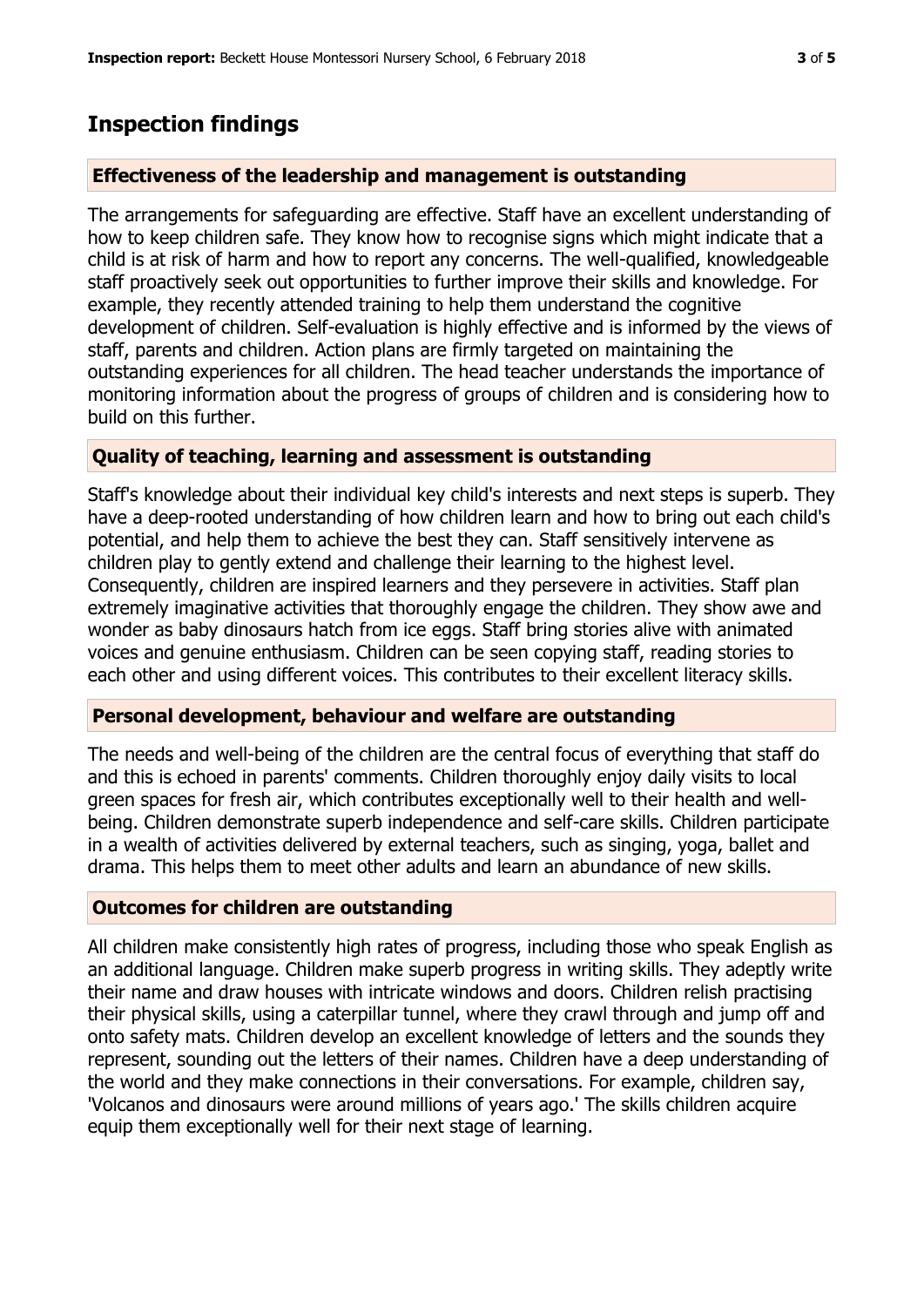## **Inspection findings**

## **Effectiveness of the leadership and management is outstanding**

The arrangements for safeguarding are effective. Staff have an excellent understanding of how to keep children safe. They know how to recognise signs which might indicate that a child is at risk of harm and how to report any concerns. The well-qualified, knowledgeable staff proactively seek out opportunities to further improve their skills and knowledge. For example, they recently attended training to help them understand the cognitive development of children. Self-evaluation is highly effective and is informed by the views of staff, parents and children. Action plans are firmly targeted on maintaining the outstanding experiences for all children. The head teacher understands the importance of monitoring information about the progress of groups of children and is considering how to build on this further.

### **Quality of teaching, learning and assessment is outstanding**

Staff's knowledge about their individual key child's interests and next steps is superb. They have a deep-rooted understanding of how children learn and how to bring out each child's potential, and help them to achieve the best they can. Staff sensitively intervene as children play to gently extend and challenge their learning to the highest level. Consequently, children are inspired learners and they persevere in activities. Staff plan extremely imaginative activities that thoroughly engage the children. They show awe and wonder as baby dinosaurs hatch from ice eggs. Staff bring stories alive with animated voices and genuine enthusiasm. Children can be seen copying staff, reading stories to each other and using different voices. This contributes to their excellent literacy skills.

#### **Personal development, behaviour and welfare are outstanding**

The needs and well-being of the children are the central focus of everything that staff do and this is echoed in parents' comments. Children thoroughly enjoy daily visits to local green spaces for fresh air, which contributes exceptionally well to their health and wellbeing. Children demonstrate superb independence and self-care skills. Children participate in a wealth of activities delivered by external teachers, such as singing, yoga, ballet and drama. This helps them to meet other adults and learn an abundance of new skills.

### **Outcomes for children are outstanding**

All children make consistently high rates of progress, including those who speak English as an additional language. Children make superb progress in writing skills. They adeptly write their name and draw houses with intricate windows and doors. Children relish practising their physical skills, using a caterpillar tunnel, where they crawl through and jump off and onto safety mats. Children develop an excellent knowledge of letters and the sounds they represent, sounding out the letters of their names. Children have a deep understanding of the world and they make connections in their conversations. For example, children say, 'Volcanos and dinosaurs were around millions of years ago.' The skills children acquire equip them exceptionally well for their next stage of learning.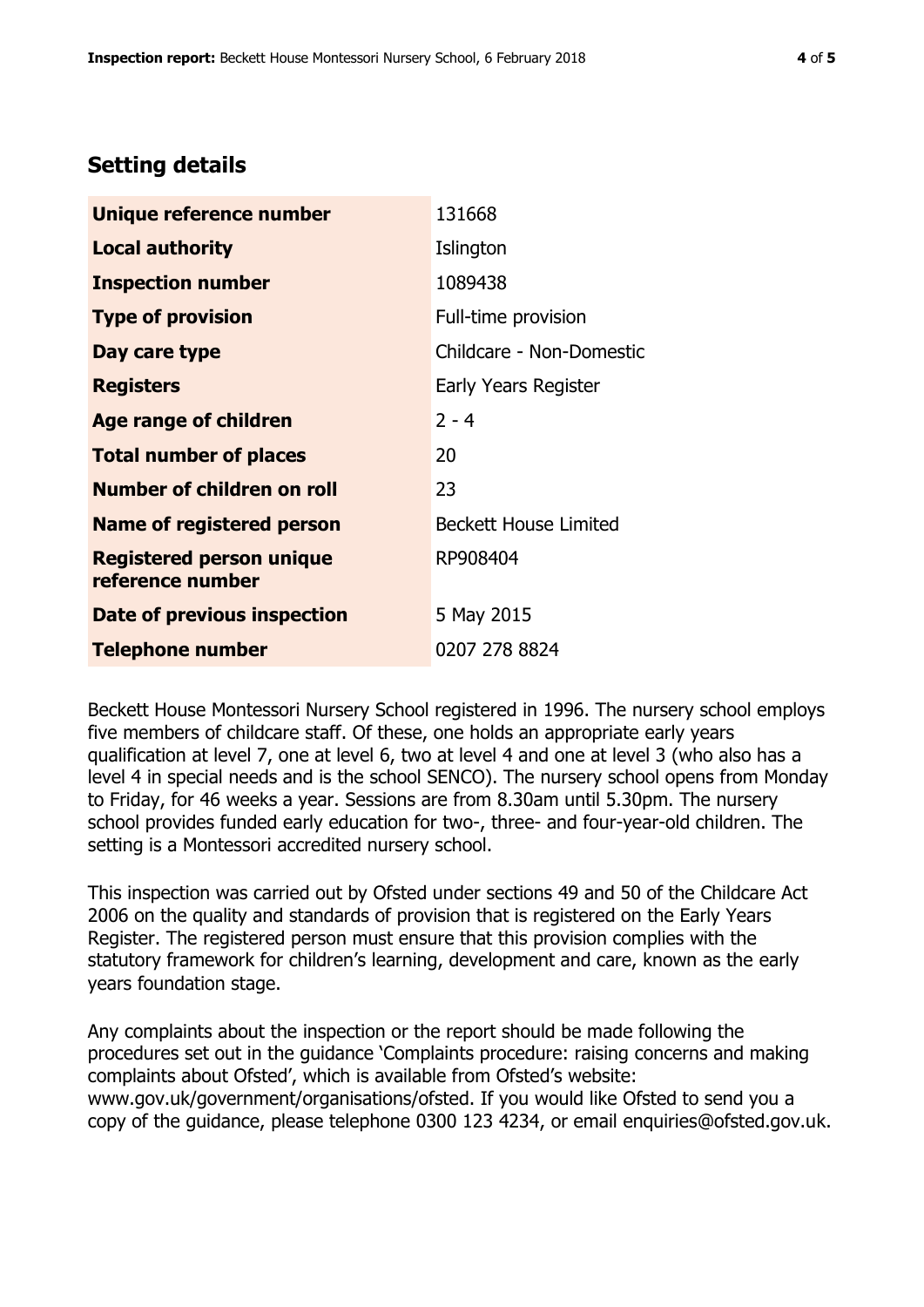# **Setting details**

| Unique reference number                             | 131668                       |  |
|-----------------------------------------------------|------------------------------|--|
| Local authority                                     | Islington                    |  |
| <b>Inspection number</b>                            | 1089438                      |  |
| <b>Type of provision</b>                            | Full-time provision          |  |
| Day care type                                       | Childcare - Non-Domestic     |  |
| <b>Registers</b>                                    | <b>Early Years Register</b>  |  |
| Age range of children                               | $2 - 4$                      |  |
| <b>Total number of places</b>                       | 20                           |  |
| <b>Number of children on roll</b>                   | 23                           |  |
| <b>Name of registered person</b>                    | <b>Beckett House Limited</b> |  |
| <b>Registered person unique</b><br>reference number | RP908404                     |  |
| Date of previous inspection                         | 5 May 2015                   |  |
| <b>Telephone number</b>                             | 0207 278 8824                |  |

Beckett House Montessori Nursery School registered in 1996. The nursery school employs five members of childcare staff. Of these, one holds an appropriate early years qualification at level 7, one at level 6, two at level 4 and one at level 3 (who also has a level 4 in special needs and is the school SENCO). The nursery school opens from Monday to Friday, for 46 weeks a year. Sessions are from 8.30am until 5.30pm. The nursery school provides funded early education for two-, three- and four-year-old children. The setting is a Montessori accredited nursery school.

This inspection was carried out by Ofsted under sections 49 and 50 of the Childcare Act 2006 on the quality and standards of provision that is registered on the Early Years Register. The registered person must ensure that this provision complies with the statutory framework for children's learning, development and care, known as the early years foundation stage.

Any complaints about the inspection or the report should be made following the procedures set out in the guidance 'Complaints procedure: raising concerns and making complaints about Ofsted', which is available from Ofsted's website: www.gov.uk/government/organisations/ofsted. If you would like Ofsted to send you a copy of the guidance, please telephone 0300 123 4234, or email enquiries@ofsted.gov.uk.